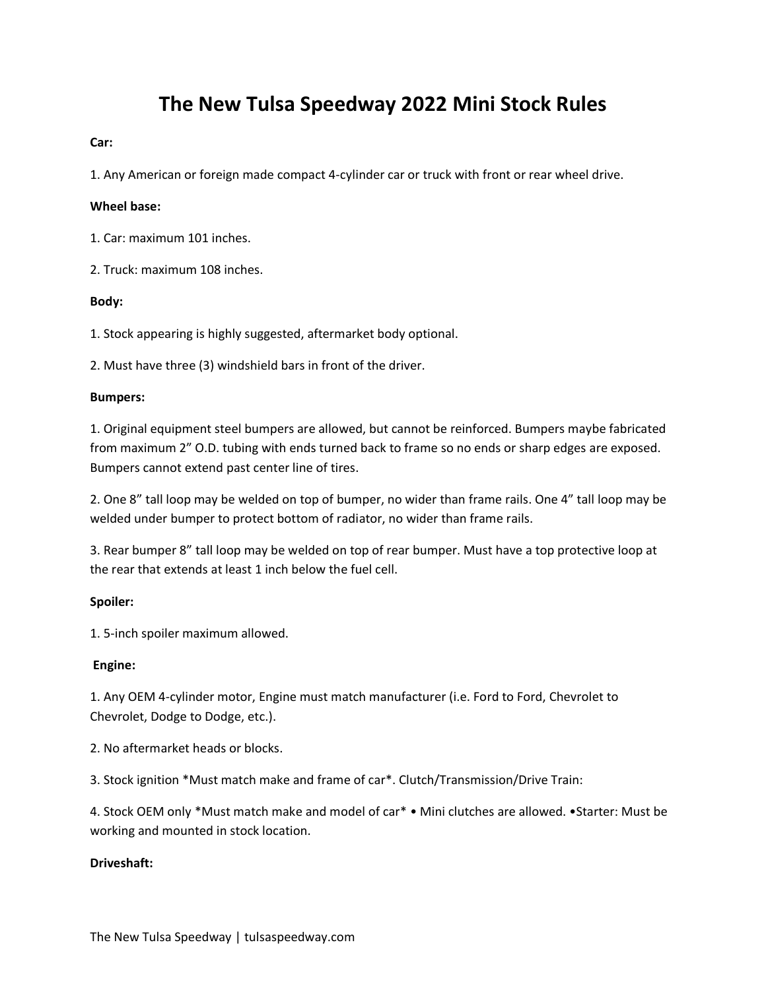# **The New Tulsa Speedway 2022 Mini Stock Rules**

## **Car:**

1. Any American or foreign made compact 4-cylinder car or truck with front or rear wheel drive.

#### **Wheel base:**

1. Car: maximum 101 inches.

2. Truck: maximum 108 inches.

#### **Body:**

1. Stock appearing is highly suggested, aftermarket body optional.

2. Must have three (3) windshield bars in front of the driver.

#### **Bumpers:**

1. Original equipment steel bumpers are allowed, but cannot be reinforced. Bumpers maybe fabricated from maximum 2" O.D. tubing with ends turned back to frame so no ends or sharp edges are exposed. Bumpers cannot extend past center line of tires.

2. One 8" tall loop may be welded on top of bumper, no wider than frame rails. One 4" tall loop may be welded under bumper to protect bottom of radiator, no wider than frame rails.

3. Rear bumper 8" tall loop may be welded on top of rear bumper. Must have a top protective loop at the rear that extends at least 1 inch below the fuel cell.

#### **Spoiler:**

1. 5-inch spoiler maximum allowed.

#### **Engine:**

1. Any OEM 4-cylinder motor, Engine must match manufacturer (i.e. Ford to Ford, Chevrolet to Chevrolet, Dodge to Dodge, etc.).

2. No aftermarket heads or blocks.

3. Stock ignition \*Must match make and frame of car\*. Clutch/Transmission/Drive Train:

4. Stock OEM only \*Must match make and model of car\* • Mini clutches are allowed. •Starter: Must be working and mounted in stock location.

#### **Driveshaft:**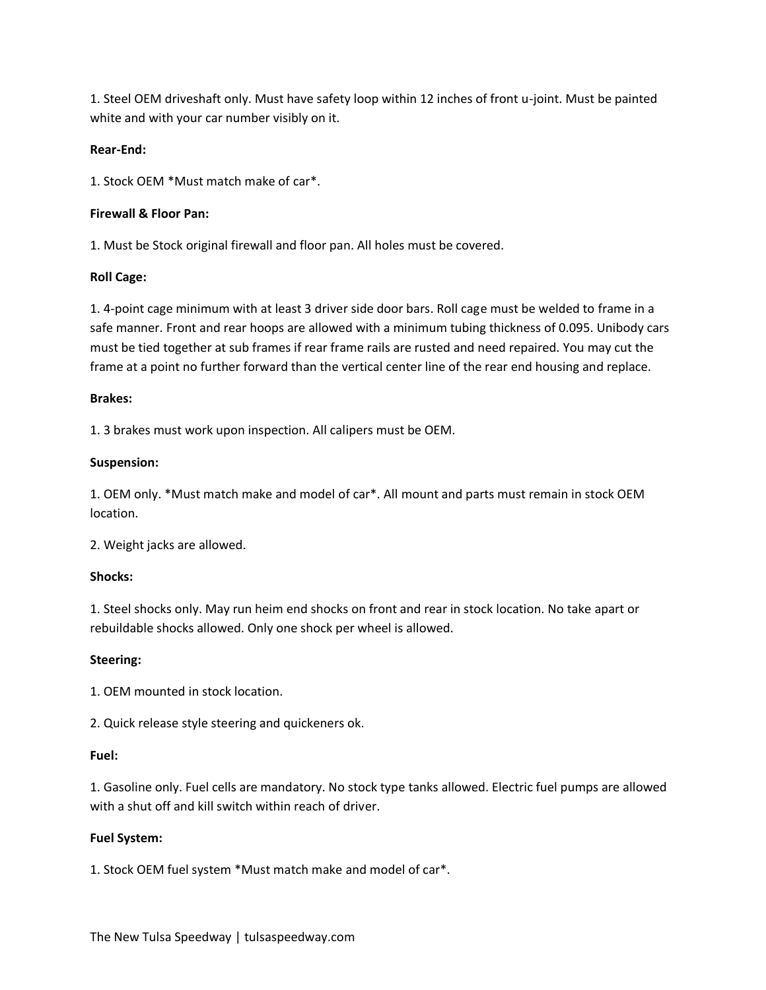1. Steel OEM driveshaft only. Must have safety loop within 12 inches of front u-joint. Must be painted white and with your car number visibly on it.

## **Rear-End:**

1. Stock OEM \*Must match make of car\*.

## **Firewall & Floor Pan:**

1. Must be Stock original firewall and floor pan. All holes must be covered.

## **Roll Cage:**

1. 4-point cage minimum with at least 3 driver side door bars. Roll cage must be welded to frame in a safe manner. Front and rear hoops are allowed with a minimum tubing thickness of 0.095. Unibody cars must be tied together at sub frames if rear frame rails are rusted and need repaired. You may cut the frame at a point no further forward than the vertical center line of the rear end housing and replace.

## **Brakes:**

1. 3 brakes must work upon inspection. All calipers must be OEM.

## **Suspension:**

1. OEM only. \*Must match make and model of car\*. All mount and parts must remain in stock OEM location.

2. Weight jacks are allowed.

## **Shocks:**

1. Steel shocks only. May run heim end shocks on front and rear in stock location. No take apart or rebuildable shocks allowed. Only one shock per wheel is allowed.

## **Steering:**

1. OEM mounted in stock location.

2. Quick release style steering and quickeners ok.

## **Fuel:**

1. Gasoline only. Fuel cells are mandatory. No stock type tanks allowed. Electric fuel pumps are allowed with a shut off and kill switch within reach of driver.

## **Fuel System:**

1. Stock OEM fuel system \*Must match make and model of car\*.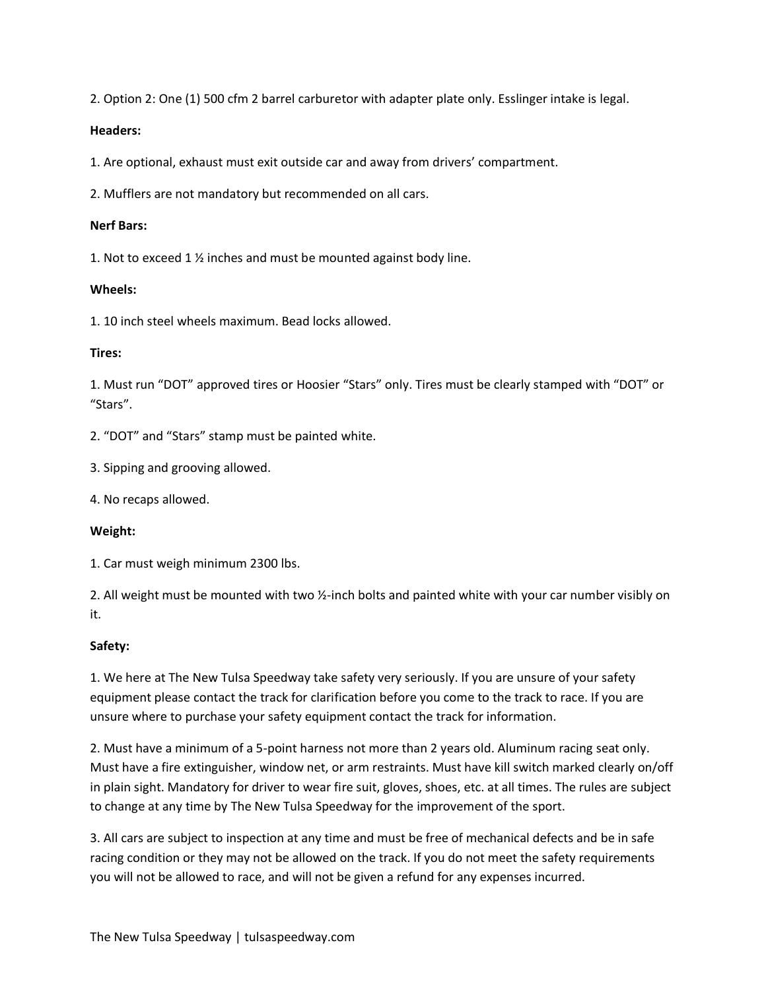2. Option 2: One (1) 500 cfm 2 barrel carburetor with adapter plate only. Esslinger intake is legal.

#### **Headers:**

1. Are optional, exhaust must exit outside car and away from drivers' compartment.

2. Mufflers are not mandatory but recommended on all cars.

## **Nerf Bars:**

1. Not to exceed 1 ½ inches and must be mounted against body line.

## **Wheels:**

1. 10 inch steel wheels maximum. Bead locks allowed.

## **Tires:**

1. Must run "DOT" approved tires or Hoosier "Stars" only. Tires must be clearly stamped with "DOT" or "Stars".

2. "DOT" and "Stars" stamp must be painted white.

- 3. Sipping and grooving allowed.
- 4. No recaps allowed.

## **Weight:**

1. Car must weigh minimum 2300 lbs.

2. All weight must be mounted with two ½-inch bolts and painted white with your car number visibly on it.

# **Safety:**

1. We here at The New Tulsa Speedway take safety very seriously. If you are unsure of your safety equipment please contact the track for clarification before you come to the track to race. If you are unsure where to purchase your safety equipment contact the track for information.

2. Must have a minimum of a 5-point harness not more than 2 years old. Aluminum racing seat only. Must have a fire extinguisher, window net, or arm restraints. Must have kill switch marked clearly on/off in plain sight. Mandatory for driver to wear fire suit, gloves, shoes, etc. at all times. The rules are subject to change at any time by The New Tulsa Speedway for the improvement of the sport.

3. All cars are subject to inspection at any time and must be free of mechanical defects and be in safe racing condition or they may not be allowed on the track. If you do not meet the safety requirements you will not be allowed to race, and will not be given a refund for any expenses incurred.